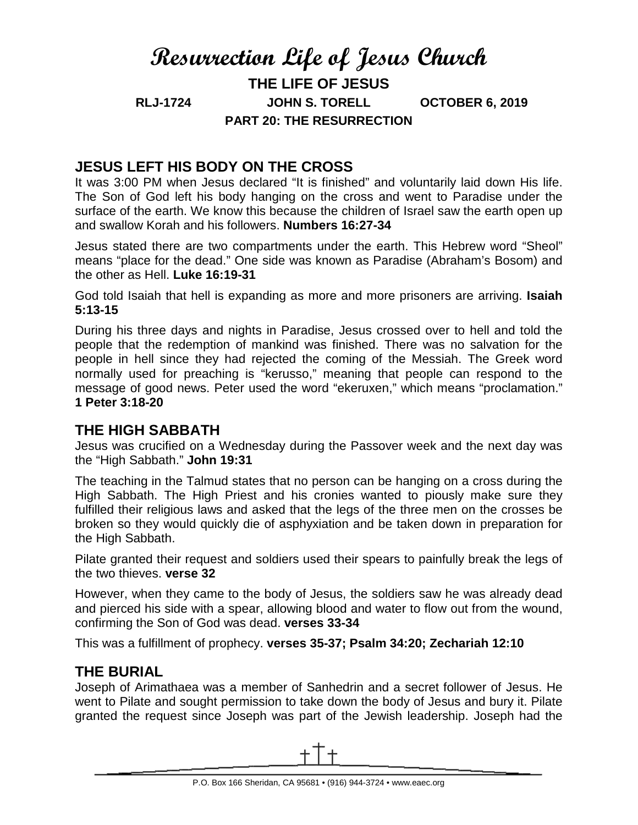# **Resurrection Life of Jesus Church**

**THE LIFE OF JESUS RLJ-1724 JOHN S. TORELL OCTOBER 6, 2019 PART 20: THE RESURRECTION**

### **JESUS LEFT HIS BODY ON THE CROSS**

It was 3:00 PM when Jesus declared "It is finished" and voluntarily laid down His life. The Son of God left his body hanging on the cross and went to Paradise under the surface of the earth. We know this because the children of Israel saw the earth open up and swallow Korah and his followers. **Numbers 16:27-34**

Jesus stated there are two compartments under the earth. This Hebrew word "Sheol" means "place for the dead." One side was known as Paradise (Abraham's Bosom) and the other as Hell. **Luke 16:19-31**

God told Isaiah that hell is expanding as more and more prisoners are arriving. **Isaiah 5:13-15** 

During his three days and nights in Paradise, Jesus crossed over to hell and told the people that the redemption of mankind was finished. There was no salvation for the people in hell since they had rejected the coming of the Messiah. The Greek word normally used for preaching is "kerusso," meaning that people can respond to the message of good news. Peter used the word "ekeruxen," which means "proclamation." **1 Peter 3:18-20**

#### **THE HIGH SABBATH**

Jesus was crucified on a Wednesday during the Passover week and the next day was the "High Sabbath." **John 19:31**

The teaching in the Talmud states that no person can be hanging on a cross during the High Sabbath. The High Priest and his cronies wanted to piously make sure they fulfilled their religious laws and asked that the legs of the three men on the crosses be broken so they would quickly die of asphyxiation and be taken down in preparation for the High Sabbath.

Pilate granted their request and soldiers used their spears to painfully break the legs of the two thieves. **verse 32**

However, when they came to the body of Jesus, the soldiers saw he was already dead and pierced his side with a spear, allowing blood and water to flow out from the wound, confirming the Son of God was dead. **verses 33-34**

This was a fulfillment of prophecy. **verses 35-37; Psalm 34:20; Zechariah 12:10**

#### **THE BURIAL**

Joseph of Arimathaea was a member of Sanhedrin and a secret follower of Jesus. He went to Pilate and sought permission to take down the body of Jesus and bury it. Pilate granted the request since Joseph was part of the Jewish leadership. Joseph had the

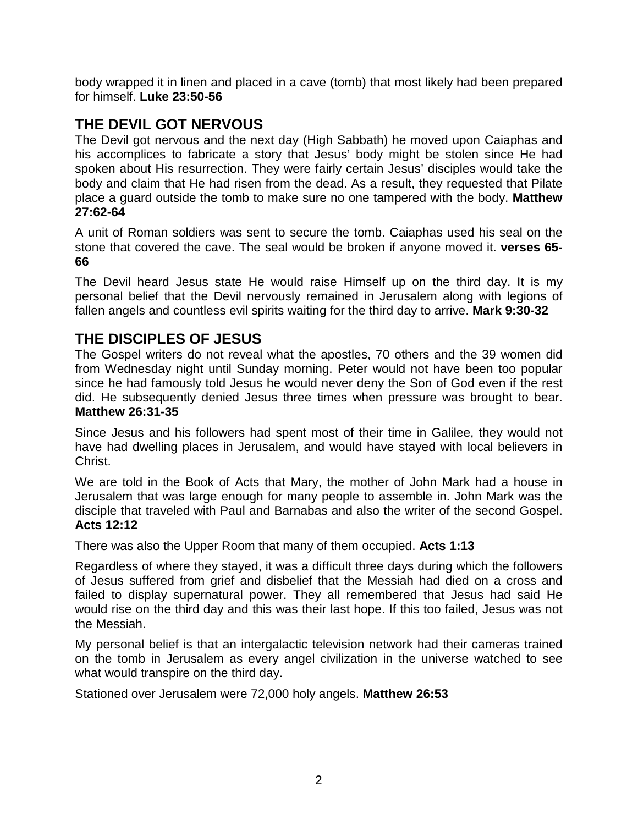body wrapped it in linen and placed in a cave (tomb) that most likely had been prepared for himself. **Luke 23:50-56**

# **THE DEVIL GOT NERVOUS**

The Devil got nervous and the next day (High Sabbath) he moved upon Caiaphas and his accomplices to fabricate a story that Jesus' body might be stolen since He had spoken about His resurrection. They were fairly certain Jesus' disciples would take the body and claim that He had risen from the dead. As a result, they requested that Pilate place a guard outside the tomb to make sure no one tampered with the body. **Matthew 27:62-64**

A unit of Roman soldiers was sent to secure the tomb. Caiaphas used his seal on the stone that covered the cave. The seal would be broken if anyone moved it. **verses 65- 66**

The Devil heard Jesus state He would raise Himself up on the third day. It is my personal belief that the Devil nervously remained in Jerusalem along with legions of fallen angels and countless evil spirits waiting for the third day to arrive. **Mark 9:30-32**

## **THE DISCIPLES OF JESUS**

The Gospel writers do not reveal what the apostles, 70 others and the 39 women did from Wednesday night until Sunday morning. Peter would not have been too popular since he had famously told Jesus he would never deny the Son of God even if the rest did. He subsequently denied Jesus three times when pressure was brought to bear. **Matthew 26:31-35**

Since Jesus and his followers had spent most of their time in Galilee, they would not have had dwelling places in Jerusalem, and would have stayed with local believers in Christ.

We are told in the Book of Acts that Mary, the mother of John Mark had a house in Jerusalem that was large enough for many people to assemble in. John Mark was the disciple that traveled with Paul and Barnabas and also the writer of the second Gospel. **Acts 12:12**

There was also the Upper Room that many of them occupied. **Acts 1:13**

Regardless of where they stayed, it was a difficult three days during which the followers of Jesus suffered from grief and disbelief that the Messiah had died on a cross and failed to display supernatural power. They all remembered that Jesus had said He would rise on the third day and this was their last hope. If this too failed, Jesus was not the Messiah.

My personal belief is that an intergalactic television network had their cameras trained on the tomb in Jerusalem as every angel civilization in the universe watched to see what would transpire on the third day.

Stationed over Jerusalem were 72,000 holy angels. **Matthew 26:53**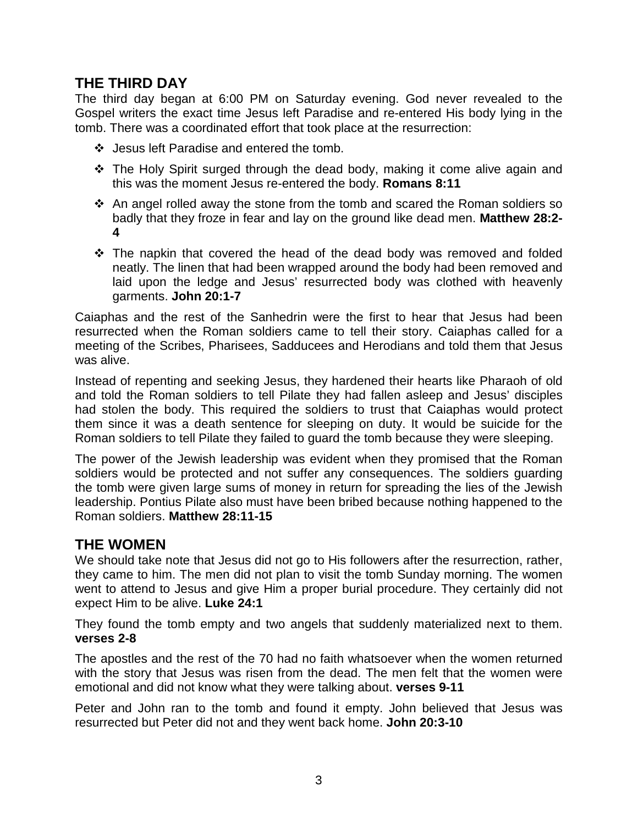# **THE THIRD DAY**

The third day began at 6:00 PM on Saturday evening. God never revealed to the Gospel writers the exact time Jesus left Paradise and re-entered His body lying in the tomb. There was a coordinated effort that took place at the resurrection:

- ❖ Jesus left Paradise and entered the tomb.
- $\div$  The Holy Spirit surged through the dead body, making it come alive again and this was the moment Jesus re-entered the body. **Romans 8:11**
- $\div$  An angel rolled away the stone from the tomb and scared the Roman soldiers so badly that they froze in fear and lay on the ground like dead men. **Matthew 28:2- 4**
- $\div$  The napkin that covered the head of the dead body was removed and folded neatly. The linen that had been wrapped around the body had been removed and laid upon the ledge and Jesus' resurrected body was clothed with heavenly garments. **John 20:1-7**

Caiaphas and the rest of the Sanhedrin were the first to hear that Jesus had been resurrected when the Roman soldiers came to tell their story. Caiaphas called for a meeting of the Scribes, Pharisees, Sadducees and Herodians and told them that Jesus was alive.

Instead of repenting and seeking Jesus, they hardened their hearts like Pharaoh of old and told the Roman soldiers to tell Pilate they had fallen asleep and Jesus' disciples had stolen the body. This required the soldiers to trust that Caiaphas would protect them since it was a death sentence for sleeping on duty. It would be suicide for the Roman soldiers to tell Pilate they failed to guard the tomb because they were sleeping.

The power of the Jewish leadership was evident when they promised that the Roman soldiers would be protected and not suffer any consequences. The soldiers guarding the tomb were given large sums of money in return for spreading the lies of the Jewish leadership. Pontius Pilate also must have been bribed because nothing happened to the Roman soldiers. **Matthew 28:11-15**

# **THE WOMEN**

We should take note that Jesus did not go to His followers after the resurrection, rather, they came to him. The men did not plan to visit the tomb Sunday morning. The women went to attend to Jesus and give Him a proper burial procedure. They certainly did not expect Him to be alive. **Luke 24:1**

They found the tomb empty and two angels that suddenly materialized next to them. **verses 2-8**

The apostles and the rest of the 70 had no faith whatsoever when the women returned with the story that Jesus was risen from the dead. The men felt that the women were emotional and did not know what they were talking about. **verses 9-11**

Peter and John ran to the tomb and found it empty. John believed that Jesus was resurrected but Peter did not and they went back home. **John 20:3-10**